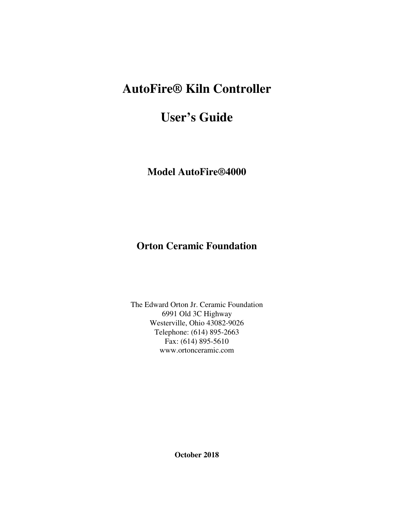# **AutoFire® Kiln Controller**

# **User's Guide**

**Model AutoFire®4000** 

# **Orton Ceramic Foundation**

The Edward Orton Jr. Ceramic Foundation 6991 Old 3C Highway Westerville, Ohio 43082-9026 Telephone: (614) 895-2663 Fax: (614) 895-5610 www.ortonceramic.com

**October 2018**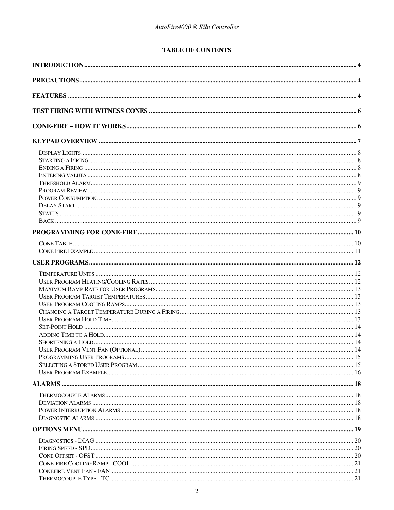### **TABLE OF CONTENTS**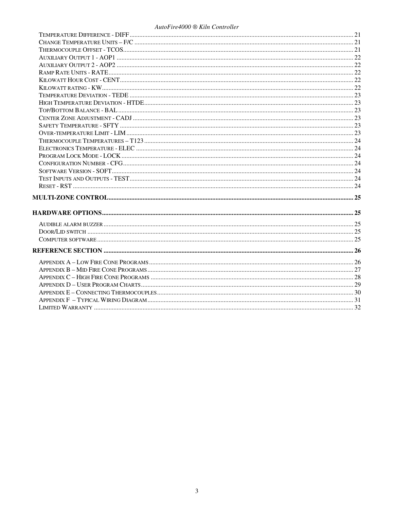#### AutoFire4000 ® Kiln Controller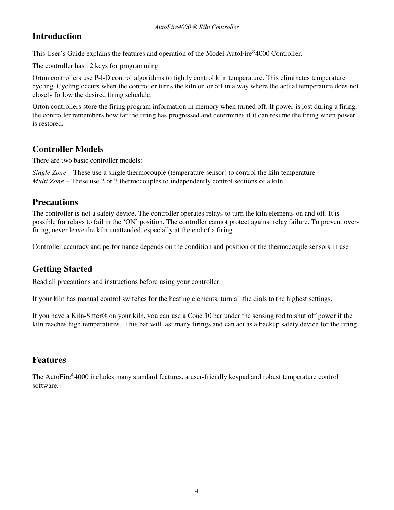# **Introduction**

This User's Guide explains the features and operation of the Model AutoFire®4000 Controller.

The controller has 12 keys for programming.

Orton controllers use P-I-D control algorithms to tightly control kiln temperature. This eliminates temperature cycling. Cycling occurs when the controller turns the kiln on or off in a way where the actual temperature does not closely follow the desired firing schedule.

Orton controllers store the firing program information in memory when turned off. If power is lost during a firing, the controller remembers how far the firing has progressed and determines if it can resume the firing when power is restored.

# **Controller Models**

There are two basic controller models:

*Single Zone* – These use a single thermocouple (temperature sensor) to control the kiln temperature *Multi Zone* – These use 2 or 3 thermocouples to independently control sections of a kiln

# **Precautions**

The controller is not a safety device. The controller operates relays to turn the kiln elements on and off. It is possible for relays to fail in the 'ON' position. The controller cannot protect against relay failure. To prevent overfiring, never leave the kiln unattended, especially at the end of a firing.

Controller accuracy and performance depends on the condition and position of the thermocouple sensors in use.

# **Getting Started**

Read all precautions and instructions before using your controller.

If your kiln has manual control switches for the heating elements, turn all the dials to the highest settings.

If you have a Kiln-Sitter  $\circledcirc$  on your kiln, you can use a Cone 10 bar under the sensing rod to shut off power if the kiln reaches high temperatures. This bar will last many firings and can act as a backup safety device for the firing.

## **Features**

The AutoFire®4000 includes many standard features, a user-friendly keypad and robust temperature control software.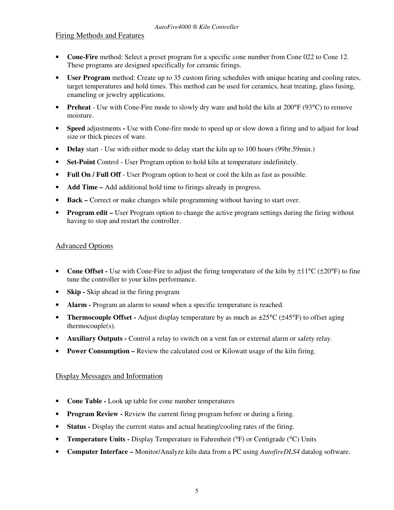### Firing Methods and Features

- **Cone-Fire** method: Select a preset program for a specific cone number from Cone 022 to Cone 12. These programs are designed specifically for ceramic firings.
- **User Program** method: Create up to 35 custom firing schedules with unique heating and cooling rates, target temperatures and hold times. This method can be used for ceramics, heat treating, glass fusing, enameling or jewelry applications.
- **Preheat** Use with Cone-Fire mode to slowly dry ware and hold the kiln at 200°F (93°C) to remove moisture.
- **Speed** adjustmentsUse with Cone-fire mode to speed up or slow down a firing and to adjust for load size or thick pieces of ware.
- **Delay** start Use with either mode to delay start the kiln up to 100 hours (99hr.59min.)
- **Set-Point** Control User Program option to hold kiln at temperature indefinitely.
- **Full On / Full Off** User Program option to heat or cool the kiln as fast as possible.
- **Add Time –** Add additional hold time to firings already in progress.
- **Back –** Correct or make changes while programming without having to start over.
- **Program edit** User Program option to change the active program settings during the firing without having to stop and restart the controller.

### Advanced Options

- **Cone Offset** Use with Cone-Fire to adjust the firing temperature of the kiln by  $\pm 11^{\circ}C$  ( $\pm 20^{\circ}F$ ) to fine tune the controller to your kilns performance.
- **Skip** Skip ahead in the firing program
- **Alarm Program an alarm to sound when a specific temperature is reached.**
- **Thermocouple Offset -** Adjust display temperature by as much as  $\pm 25^{\circ}C$  ( $\pm 45^{\circ}F$ ) to offset aging thermocouple(s).
- **Auxiliary Outputs** Control a relay to switch on a vent fan or external alarm or safety relay.
- **Power Consumption –** Review the calculated cost or Kilowatt usage of the kiln firing.

### Display Messages and Information

- **Cone Table** Look up table for cone number temperatures
- **Program Review Review the current firing program before or during a firing.**
- **Status** Display the current status and actual heating/cooling rates of the firing.
- **Temperature Units -** Display Temperature in Fahrenheit (°F) or Centigrade (°C) Units
- **Computer Interface** Monitor/Analyze kiln data from a PC using *AutofireDLS4* datalog software.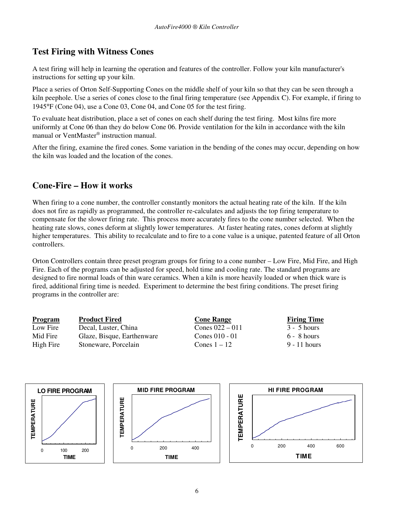# **Test Firing with Witness Cones**

A test firing will help in learning the operation and features of the controller. Follow your kiln manufacturer's instructions for setting up your kiln.

Place a series of Orton Self-Supporting Cones on the middle shelf of your kiln so that they can be seen through a kiln peephole. Use a series of cones close to the final firing temperature (see Appendix C). For example, if firing to 1945°F (Cone 04), use a Cone 03, Cone 04, and Cone 05 for the test firing.

To evaluate heat distribution, place a set of cones on each shelf during the test firing. Most kilns fire more uniformly at Cone 06 than they do below Cone 06. Provide ventilation for the kiln in accordance with the kiln manual or VentMaster® instruction manual.

After the firing, examine the fired cones. Some variation in the bending of the cones may occur, depending on how the kiln was loaded and the location of the cones.

# **Cone-Fire – How it works**

When firing to a cone number, the controller constantly monitors the actual heating rate of the kiln. If the kiln does not fire as rapidly as programmed, the controller re-calculates and adjusts the top firing temperature to compensate for the slower firing rate. This process more accurately fires to the cone number selected. When the heating rate slows, cones deform at slightly lower temperatures. At faster heating rates, cones deform at slightly higher temperatures. This ability to recalculate and to fire to a cone value is a unique, patented feature of all Orton controllers.

Orton Controllers contain three preset program groups for firing to a cone number – Low Fire, Mid Fire, and High Fire. Each of the programs can be adjusted for speed, hold time and cooling rate. The standard programs are designed to fire normal loads of thin ware ceramics. When a kiln is more heavily loaded or when thick ware is fired, additional firing time is needed. Experiment to determine the best firing conditions. The preset firing programs in the controller are:

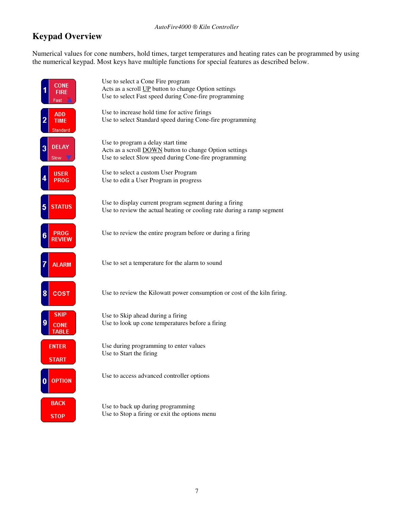# **Keypad Overview**

Numerical values for cone numbers, hold times, target temperatures and heating rates can be programmed by using the numerical keypad. Most keys have multiple functions for special features as described below.

| CONE                                  | Use to select a Cone Fire program                                                                         |
|---------------------------------------|-----------------------------------------------------------------------------------------------------------|
| FIRF                                  | Acts as a scroll UP button to change Option settings                                                      |
| Fast                                  | Use to select Fast speed during Cone-fire programming                                                     |
| <b>ADD</b><br><b>TIME</b><br>Standard | Use to increase hold time for active firings<br>Use to select Standard speed during Cone-fire programming |
| <b>DELAY</b>                          | Use to program a delay start time                                                                         |
| 3                                     | Acts as a scroll <b>DOWN</b> button to change Option settings                                             |
| Slow \                                | Use to select Slow speed during Cone-fire programming                                                     |
| <b>USER</b>                           | Use to select a custom User Program                                                                       |
| <b>PROG</b>                           | Use to edit a User Program in progress                                                                    |
| <b>STATUS</b>                         | Use to display current program segment during a firing                                                    |
| 5                                     | Use to review the actual heating or cooling rate during a ramp segment                                    |
| <b>PROG</b><br>6<br>REVIEW            | Use to review the entire program before or during a firing                                                |
| <b>ALARM</b>                          | Use to set a temperature for the alarm to sound                                                           |
| 8<br>COST                             | Use to review the Kilowatt power consumption or cost of the kiln firing.                                  |
| <b>SKIP</b><br><b>CONE</b><br>TABLE   | Use to Skip ahead during a firing<br>Use to look up cone temperatures before a firing                     |
| <b>ENTER</b>                          | Use during programming to enter values                                                                    |
| <b>START</b>                          | Use to Start the firing                                                                                   |
| <b>OPTION</b>                         | Use to access advanced controller options                                                                 |
| <b>BACK</b>                           | Use to back up during programming                                                                         |
| <b>STOP</b>                           | Use to Stop a firing or exit the options menu                                                             |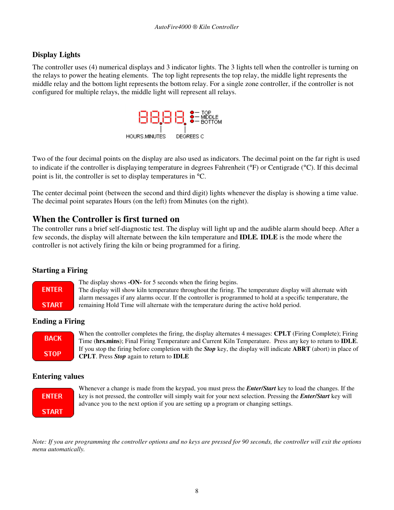### **Display Lights**

The controller uses (4) numerical displays and 3 indicator lights. The 3 lights tell when the controller is turning on the relays to power the heating elements. The top light represents the top relay, the middle light represents the middle relay and the bottom light represents the bottom relay. For a single zone controller, if the controller is not configured for multiple relays, the middle light will represent all relays.



Two of the four decimal points on the display are also used as indicators. The decimal point on the far right is used to indicate if the controller is displaying temperature in degrees Fahrenheit (°F) or Centigrade (°C). If this decimal point is lit, the controller is set to display temperatures in °C.

The center decimal point (between the second and third digit) lights whenever the display is showing a time value. The decimal point separates Hours (on the left) from Minutes (on the right).

## **When the Controller is first turned on**

The controller runs a brief self-diagnostic test. The display will light up and the audible alarm should beep. After a few seconds, the display will alternate between the kiln temperature and **IDLE***.* **IDLE** is the mode where the controller is not actively firing the kiln or being programmed for a firing.

### **Starting a Firing**



The display shows **-ON-** for 5 seconds when the firing begins. The display will show kiln temperature throughout the firing. The temperature display will alternate with alarm messages if any alarms occur. If the controller is programmed to hold at a specific temperature, the remaining Hold Time will alternate with the temperature during the active hold period.

### **Ending a Firing**



When the controller completes the firing, the display alternates 4 messages: **CPLT** (Firing Complete); Firing Time (**hrs.mins**); Final Firing Temperature and Current Kiln Temperature. Press any key to return to **IDLE**. If you stop the firing before completion with the *Stop* key, the display will indicate **ABRT** (abort) in place of **CPLT**. Press *Stop* again to return to **IDLE**

### **Entering values**



Whenever a change is made from the keypad, you must press the *Enter/Start* key to load the changes. If the key is not pressed, the controller will simply wait for your next selection. Pressing the *Enter/Start* key will advance you to the next option if you are setting up a program or changing settings.

*Note: If you are programming the controller options and no keys are pressed for 90 seconds, the controller will exit the options menu automatically.*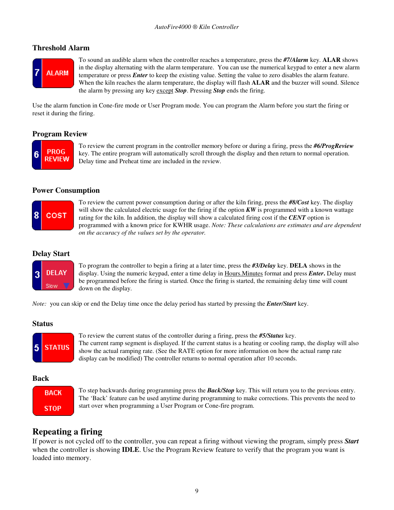### **Threshold Alarm**



To sound an audible alarm when the controller reaches a temperature, press the *#7/Alarm* key. **ALAR** shows in the display alternating with the alarm temperature. You can use the numerical keypad to enter a new alarm temperature or press *Enter* to keep the existing value. Setting the value to zero disables the alarm feature. When the kiln reaches the alarm temperature, the display will flash **ALAR** and the buzzer will sound. Silence the alarm by pressing any key except *Stop*. Pressing *Stop* ends the firing.

Use the alarm function in Cone-fire mode or User Program mode. You can program the Alarm before you start the firing or reset it during the firing.

### **Program Review**



To review the current program in the controller memory before or during a firing, press the *#6/ProgReview* key. The entire program will automatically scroll through the display and then return to normal operation. Delay time and Preheat time are included in the review.

#### **Power Consumption**



To review the current power consumption during or after the kiln firing, press the *#8/Cost* key. The display will show the calculated electric usage for the firing if the option *KW* is programmed with a known wattage rating for the kiln. In addition, the display will show a calculated firing cost if the *CENT* option is programmed with a known price for KWHR usage. *Note: These calculations are estimates and are dependent on the accuracy of the values set by the operator.* 

### **Delay Start**



To program the controller to begin a firing at a later time, press the *#3/Delay* key. **DELA** shows in the display. Using the numeric keypad, enter a time delay in Hours.Minutes format and press *Enter***.** Delay must be programmed before the firing is started. Once the firing is started, the remaining delay time will count down on the display.

*Note:* you can skip or end the Delay time once the delay period has started by pressing the *Enter/Start* key.

### **Status**



To review the current status of the controller during a firing, press the *#5/Status* key. The current ramp segment is displayed. If the current status is a heating or cooling ramp, the display will also show the actual ramping rate. (See the RATE option for more information on how the actual ramp rate display can be modified) The controller returns to normal operation after 10 seconds.

### **Back**



To step backwards during programming press the *Back/Stop* key. This will return you to the previous entry. The 'Back' feature can be used anytime during programming to make corrections. This prevents the need to start over when programming a User Program or Cone-fire program.

## **Repeating a firing**

If power is not cycled off to the controller, you can repeat a firing without viewing the program, simply press *Start* when the controller is showing **IDLE**. Use the Program Review feature to verify that the program you want is loaded into memory.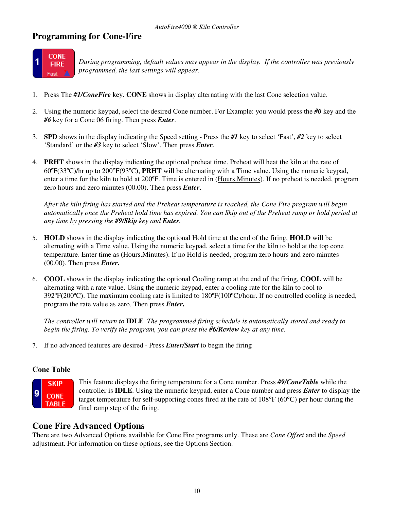# **Programming for Cone-Fire**



*During programming, default values may appear in the display. If the controller was previously programmed, the last settings will appear.* 

- 1. Press The *#1/ConeFire* key. **CONE** shows in display alternating with the last Cone selection value.
- 2. Using the numeric keypad, select the desired Cone number. For Example: you would press the *#0* key and the *#6* key for a Cone 06 firing. Then press *Enter*.
- 3. **SPD** shows in the display indicating the Speed setting Press the *#1* key to select 'Fast', *#2* key to select 'Standard' or the *#3* key to select 'Slow'. Then press *Enter.*
- 4. **PRHT** shows in the display indicating the optional preheat time. Preheat will heat the kiln at the rate of 60ºF(33ºC)/hr up to 200°F(93ºC), **PRHT** will be alternating with a Time value. Using the numeric keypad, enter a time for the kiln to hold at 200ºF. Time is entered in (Hours.Minutes). If no preheat is needed, program zero hours and zero minutes (00.00). Then press *Enter*.

*After the kiln firing has started and the Preheat temperature is reached, the Cone Fire program will begin automatically once the Preheat hold time has expired. You can Skip out of the Preheat ramp or hold period at any time by pressing the #9/Skip key and Enter.* 

- 5. **HOLD** shows in the display indicating the optional Hold time at the end of the firing, **HOLD** will be alternating with a Time value. Using the numeric keypad, select a time for the kiln to hold at the top cone temperature. Enter time as (Hours.Minutes). If no Hold is needed, program zero hours and zero minutes (00.00). Then press *Enter***.**
- 6. **COOL** shows in the display indicating the optional Cooling ramp at the end of the firing, **COOL** will be alternating with a rate value. Using the numeric keypad, enter a cooling rate for the kiln to cool to 392ºF(200ºC). The maximum cooling rate is limited to 180ºF(100ºC)/hour. If no controlled cooling is needed, program the rate value as zero. Then press *Enter***.**

*The controller will return to* **IDLE***. The programmed firing schedule is automatically stored and ready to begin the firing. To verify the program, you can press the #6/Review key at any time.*

7. If no advanced features are desired - Press *Enter/Start* to begin the firing

### **Cone Table**



This feature displays the firing temperature for a Cone number. Press *#9/ConeTable* while the controller is **IDLE**. Using the numeric keypad, enter a Cone number and press *Enter* to display the target temperature for self-supporting cones fired at the rate of 108°F (60°C) per hour during the final ramp step of the firing.

## **Cone Fire Advanced Options**

There are two Advanced Options available for Cone Fire programs only. These are *Cone Offset* and the *Speed* adjustment. For information on these options, see the Options Section.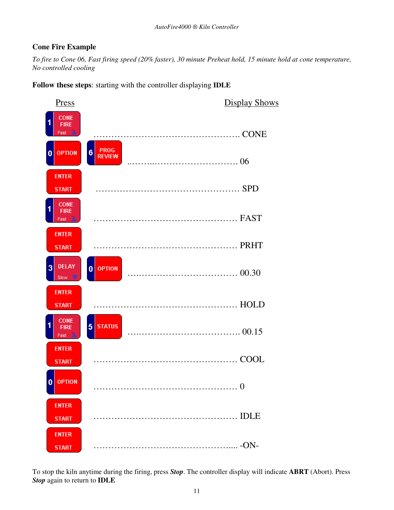### **Cone Fire Example**

*To fire to Cone 06, Fast firing speed (20% faster), 30 minute Preheat hold, 15 minute hold at cone temperature, No controlled cooling* 

**Follow these steps**: starting with the controller displaying **IDLE**



To stop the kiln anytime during the firing, press *Stop*. The controller display will indicate **ABRT** (Abort). Press *Stop* again to return to **IDLE**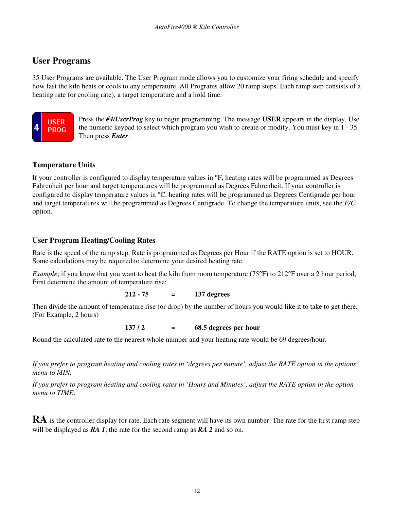## **User Programs**

35 User Programs are available. The User Program mode allows you to customize your firing schedule and specify how fast the kiln heats or cools to any temperature. All Programs allow 20 ramp steps. Each ramp step consists of a heating rate (or cooling rate), a target temperature and a hold time.



Press the *#4/UserProg* key to begin programming. The message **USER** appears in the display. Use the numeric keypad to select which program you wish to create or modify. You must key in 1 - 35 Then press *Enter*.

### **Temperature Units**

If your controller is configured to display temperature values in °F, heating rates will be programmed as Degrees Fahrenheit per hour and target temperatures will be programmed as Degrees Fahrenheit. If your controller is configured to display temperature values in °C, heating rates will be programmed as Degrees Centigrade per hour and target temperatures will be programmed as Degrees Centigrade. To change the temperature units, see the *F/C* option.

### **User Program Heating/Cooling Rates**

Rate is the speed of the ramp step. Rate is programmed as Degrees per Hour if the RATE option is set to HOUR. Some calculations may be required to determine your desired heating rate.

*Example*; if you know that you want to heat the kiln from room temperature (75°F) to 212°F over a 2 hour period, First determine the amount of temperature rise:

### **212 - 75 = 137 degrees**

Then divide the amount of temperature rise (or drop) by the number of hours you would like it to take to get there. (For Example, 2 hours)

### **137** / **2 = 68.5 degrees per hour**

Round the calculated rate to the nearest whole number and your heating rate would be 69 degrees/hour.

*If you prefer to program heating and cooling rates in 'degrees per minute', adjust the RATE option in the options menu to MIN.* 

*If you prefer to program heating and cooling rates in 'Hours and Minutes', adjust the RATE option in the option menu to TIME*.

**RA** is the controller display for rate. Each rate segment will have its own number. The rate for the first ramp step will be displayed as *RA 1*, the rate for the second ramp as *RA 2* and so on.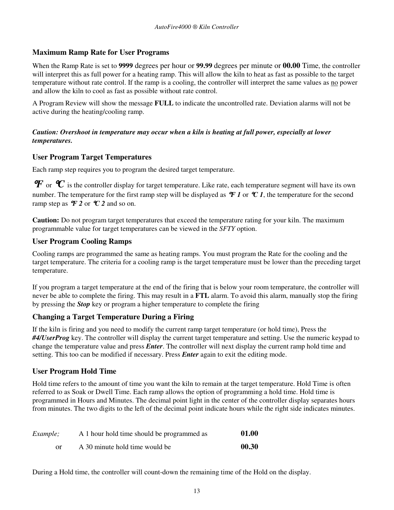### **Maximum Ramp Rate for User Programs**

When the Ramp Rate is set to **9999** degrees per hour or **99.99** degrees per minute or **00.00** Time, the controller will interpret this as full power for a heating ramp. This will allow the kiln to heat as fast as possible to the target temperature without rate control. If the ramp is a cooling, the controller will interpret the same values as no power and allow the kiln to cool as fast as possible without rate control.

A Program Review will show the message **FULL** to indicate the uncontrolled rate. Deviation alarms will not be active during the heating/cooling ramp.

### *Caution: Overshoot in temperature may occur when a kiln is heating at full power, especially at lower temperatures.*

### **User Program Target Temperatures**

Each ramp step requires you to program the desired target temperature.

 $\bm{F}$  or  $\bm{\mathcal{C}}$  is the controller display for target temperature. Like rate, each temperature segment will have its own number. The temperature for the first ramp step will be displayed as  $\mathcal{F}$  *I* or  $\mathcal{C}$  *I*, the temperature for the second ramp step as  $\mathcal{F}$  2 or  $\mathcal{C}$  2 and so on.

**Caution:** Do not program target temperatures that exceed the temperature rating for your kiln. The maximum programmable value for target temperatures can be viewed in the *SFTY* option.

### **User Program Cooling Ramps**

Cooling ramps are programmed the same as heating ramps. You must program the Rate for the cooling and the target temperature. The criteria for a cooling ramp is the target temperature must be lower than the preceding target temperature.

If you program a target temperature at the end of the firing that is below your room temperature, the controller will never be able to complete the firing. This may result in a **FTL** alarm. To avoid this alarm, manually stop the firing by pressing the *Stop* key or program a higher temperature to complete the firing

### **Changing a Target Temperature During a Firing**

If the kiln is firing and you need to modify the current ramp target temperature (or hold time), Press the *#4/UserProg* key. The controller will display the current target temperature and setting. Use the numeric keypad to change the temperature value and press *Enter*. The controller will next display the current ramp hold time and setting. This too can be modified if necessary. Press *Enter* again to exit the editing mode.

### **User Program Hold Time**

Hold time refers to the amount of time you want the kiln to remain at the target temperature. Hold Time is often referred to as Soak or Dwell Time. Each ramp allows the option of programming a hold time. Hold time is programmed in Hours and Minutes. The decimal point light in the center of the controller display separates hours from minutes. The two digits to the left of the decimal point indicate hours while the right side indicates minutes.

| Example; | A 1 hour hold time should be programmed as | 01.00 |
|----------|--------------------------------------------|-------|
|          | A 30 minute hold time would be             | 00.30 |

During a Hold time, the controller will count-down the remaining time of the Hold on the display.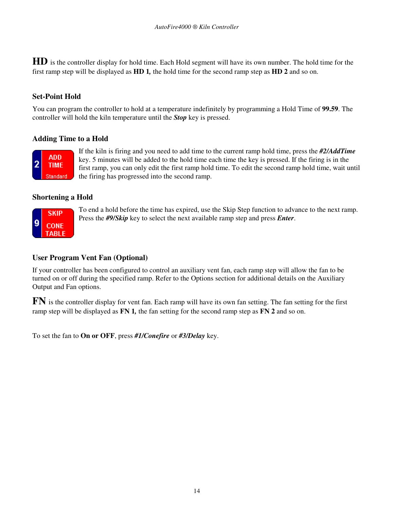**HD** is the controller display for hold time. Each Hold segment will have its own number. The hold time for the first ramp step will be displayed as **HD 1***,* the hold time for the second ramp step as **HD 2** and so on.

### **Set-Point Hold**

You can program the controller to hold at a temperature indefinitely by programming a Hold Time of **99.59**. The controller will hold the kiln temperature until the *Stop* key is pressed.

### **Adding Time to a Hold**



If the kiln is firing and you need to add time to the current ramp hold time, press the *#2/AddTime* key. 5 minutes will be added to the hold time each time the key is pressed. If the firing is in the first ramp, you can only edit the first ramp hold time. To edit the second ramp hold time, wait until the firing has progressed into the second ramp.

### **Shortening a Hold**



To end a hold before the time has expired, use the Skip Step function to advance to the next ramp. Press the *#9/Skip* key to select the next available ramp step and press *Enter*.

### **User Program Vent Fan (Optional)**

If your controller has been configured to control an auxiliary vent fan, each ramp step will allow the fan to be turned on or off during the specified ramp. Refer to the Options section for additional details on the Auxiliary Output and Fan options.

**FN** is the controller display for vent fan. Each ramp will have its own fan setting. The fan setting for the first ramp step will be displayed as **FN 1***,* the fan setting for the second ramp step as **FN 2** and so on.

To set the fan to **On or OFF**, press *#1/Conefire* or *#3/Delay* key.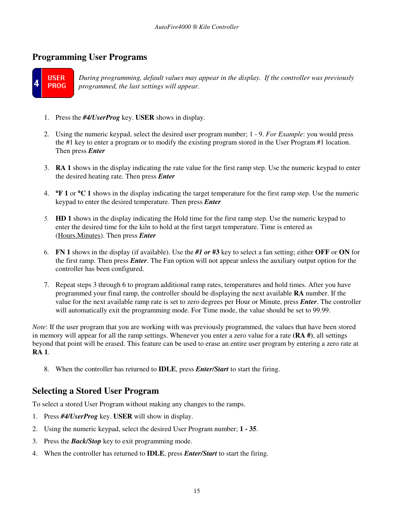## **Programming User Programs**



*During programming, default values may appear in the display. If the controller was previously programmed, the last settings will appear.*

- 1. Press the *#4/UserProg* key. **USER** shows in display.
- 2. Using the numeric keypad, select the desired user program number; 1 9. *For Example*: you would press the #1 key to enter a program or to modify the existing program stored in the User Program #1 location. Then press *Enter*
- 3. **RA 1** shows in the display indicating the rate value for the first ramp step. Use the numeric keypad to enter the desired heating rate. Then press *Enter*
- 4. °**F 1** or °**C 1** shows in the display indicating the target temperature for the first ramp step. Use the numeric keypad to enter the desired temperature. Then press *Enter*
- *5.* **HD 1** shows in the display indicating the Hold time for the first ramp step. Use the numeric keypad to enter the desired time for the kiln to hold at the first target temperature. Time is entered as (Hours.Minutes). Then press *Enter*
- 6. **FN 1** shows in the display (if available). Use the *#1 or* **#3** key to select a fan setting; either **OFF** or **ON** for the first ramp. Then press *Enter*. The Fan option will not appear unless the auxiliary output option for the controller has been configured.
- 7. Repeat steps 3 through 6 to program additional ramp rates, temperatures and hold times. After you have programmed your final ramp, the controller should be displaying the next available **RA** number. If the value for the next available ramp rate is set to zero degrees per Hour or Minute, press *Enter*. The controller will automatically exit the programming mode. For Time mode, the value should be set to 99.99.

*Note*: If the user program that you are working with was previously programmed, the values that have been stored in memory will appear for all the ramp settings. Whenever you enter a zero value for a rate **(RA #)**, all settings beyond that point will be erased. This feature can be used to erase an entire user program by entering a zero rate at **RA 1**.

8. When the controller has returned to **IDLE**, press *Enter/Start* to start the firing.

## **Selecting a Stored User Program**

To select a stored User Program without making any changes to the ramps.

- 1. Press *#4/UserProg* key. **USER** will show in display.
- 2. Using the numeric keypad, select the desired User Program number; **1 35**.
- 3. Press the *Back/Stop* key to exit programming mode.
- 4. When the controller has returned to **IDLE**, press *Enter/Start* to start the firing.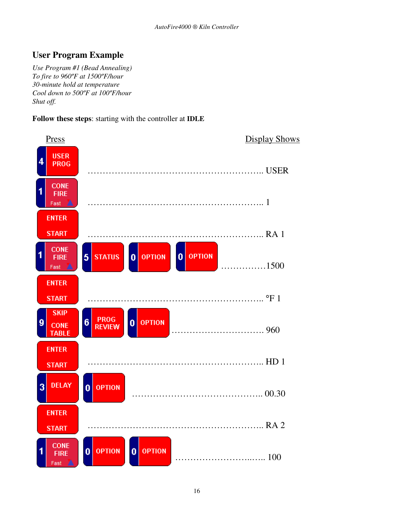# **User Program Example**

*Use Program #1 (Bead Annealing) To fire to 960ºF at 1500ºF/hour 30-minute hold at temperature Cool down to 500ºF at 100ºF/hour Shut off.* 

### **Follow these steps**: starting with the controller at **IDLE**

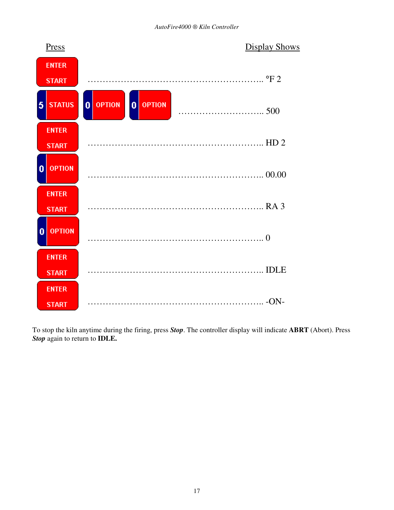

To stop the kiln anytime during the firing, press *Stop*. The controller display will indicate **ABRT** (Abort). Press *Stop* again to return to **IDLE.**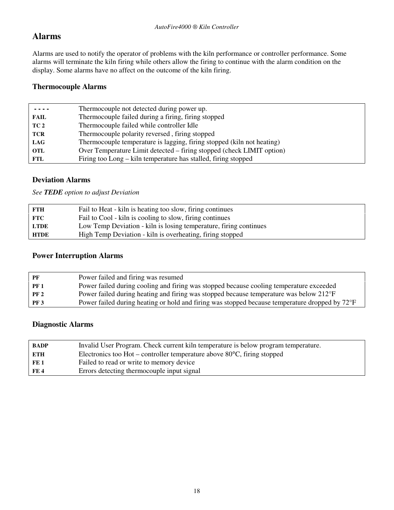# **Alarms**

Alarms are used to notify the operator of problems with the kiln performance or controller performance. Some alarms will terminate the kiln firing while others allow the firing to continue with the alarm condition on the display. Some alarms have no affect on the outcome of the kiln firing.

### **Thermocouple Alarms**

|                 | Thermocouple not detected during power up.                             |
|-----------------|------------------------------------------------------------------------|
| <b>FAIL</b>     | Thermocouple failed during a firing, firing stopped                    |
| TC <sub>2</sub> | Thermocouple failed while controller Idle                              |
| <b>TCR</b>      | Thermocouple polarity reversed, firing stopped                         |
| <b>LAG</b>      | Thermocouple temperature is lagging, firing stopped (kiln not heating) |
| <b>OTL</b>      | Over Temperature Limit detected – firing stopped (check LIMIT option)  |
| FTL             | Firing too Long – kiln temperature has stalled, firing stopped         |

### **Deviation Alarms**

*See TEDE option to adjust Deviation* 

| FTH  | Fail to Heat - kiln is heating too slow, firing continues         |
|------|-------------------------------------------------------------------|
| FTC  | Fail to Cool - kiln is cooling to slow, firing continues          |
| LTDE | Low Temp Deviation - kiln is losing temperature, firing continues |
| HTDE | High Temp Deviation - kiln is overheating, firing stopped         |

### **Power Interruption Alarms**

| PF          | Power failed and firing was resumed                                                            |
|-------------|------------------------------------------------------------------------------------------------|
| <b>PF 1</b> | Power failed during cooling and firing was stopped because cooling temperature exceeded        |
| <b>PF 2</b> | Power failed during heating and firing was stopped because temperature was below 212°F         |
| PF3         | Power failed during heating or hold and firing was stopped because temperature dropped by 72°F |
|             |                                                                                                |

### **Diagnostic Alarms**

| <b>BADP</b> | Invalid User Program. Check current kiln temperature is below program temperature. |
|-------------|------------------------------------------------------------------------------------|
| <b>ETH</b>  | Electronics too Hot – controller temperature above $80^{\circ}$ C, firing stopped  |
| FE 1        | Failed to read or write to memory device                                           |
| FE 4        | Errors detecting thermocouple input signal                                         |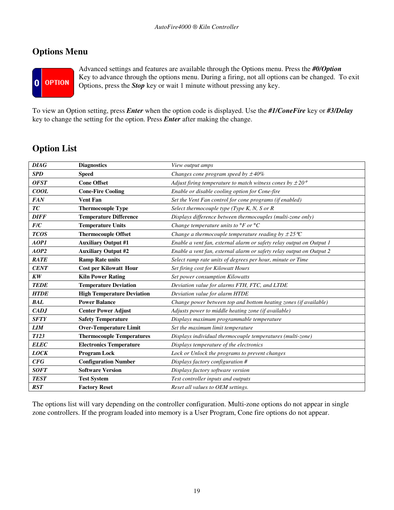# **Options Menu**



Advanced settings and features are available through the Options menu. Press the *#0/Option* Key to advance through the options menu. During a firing, not all options can be changed. To exit Options, press the *Stop* key or wait 1 minute without pressing any key.

To view an Option setting, press *Enter* when the option code is displayed. Use the *#1/ConeFire* key or *#3/Delay*  key to change the setting for the option. Press *Enter* after making the change.

# **Option List**

| <b>DIAG</b> | <b>Diagnostics</b>                | View output amps                                                     |
|-------------|-----------------------------------|----------------------------------------------------------------------|
| <b>SPD</b>  | <b>Speed</b>                      | Changes cone program speed by $\pm 40\%$                             |
| <b>OFST</b> | <b>Cone Offset</b>                | Adjust firing temperature to match witness cones by $\pm 20^{\circ}$ |
| COOL        | <b>Cone-Fire Cooling</b>          | Enable or disable cooling option for Cone-fire                       |
| <b>FAN</b>  | <b>Vent Fan</b>                   | Set the Vent Fan control for cone programs (if enabled)              |
| TC          | <b>Thermocouple Type</b>          | Select thermocouple type (Type K, N, S or R                          |
| <b>DIFF</b> | <b>Temperature Difference</b>     | Displays difference between thermocouples (multi-zone only)          |
| F/C         | <b>Temperature Units</b>          | Change temperature units to $\mathrm{P}F$ or $\mathrm{P}C$           |
| <b>TCOS</b> | <b>Thermocouple Offset</b>        | Change a thermocouple temperature reading by $\pm 25^{\circ}C$       |
| AOP1        | <b>Auxiliary Output #1</b>        | Enable a vent fan, external alarm or safety relay output on Output 1 |
| AOP2        | <b>Auxiliary Output #2</b>        | Enable a vent fan, external alarm or safety relay output on Output 2 |
| <b>RATE</b> | <b>Ramp Rate units</b>            | Select ramp rate units of degrees per hour, minute or Time           |
| <b>CENT</b> | <b>Cost per Kilowatt Hour</b>     | Set firing cost for Kilowatt Hours                                   |
| KW          | <b>Kiln Power Rating</b>          | Set power consumption Kilowatts                                      |
| <b>TEDE</b> | <b>Temperature Deviation</b>      | Deviation value for alarms FTH, FTC, and LTDE                        |
| <b>HTDE</b> | <b>High Temperature Deviation</b> | Deviation value for alarm HTDE                                       |
| <b>BAL</b>  | <b>Power Balance</b>              | Change power between top and bottom heating zones (if available)     |
| CADJ        | <b>Center Power Adjust</b>        | Adjusts power to middle heating zone (if available)                  |
| <b>SFTY</b> | <b>Safety Temperature</b>         | Displays maximum programmable temperature                            |
| <b>LIM</b>  | <b>Over-Temperature Limit</b>     | Set the maximum limit temperature                                    |
| <b>T123</b> | <b>Thermocouple Temperatures</b>  | Displays individual thermocouple temperatures (multi-zone)           |
| <b>ELEC</b> | <b>Electronics Temperature</b>    | Displays temperature of the electronics                              |
| <b>LOCK</b> | <b>Program Lock</b>               | Lock or Unlock the programs to prevent changes                       |
| CFG         | <b>Configuration Number</b>       | Displays factory configuration #                                     |
| <b>SOFT</b> | <b>Software Version</b>           | Displays factory software version                                    |
| <b>TEST</b> | <b>Test System</b>                | Test controller inputs and outputs                                   |
| <b>RST</b>  | <b>Factory Reset</b>              | Reset all values to OEM settings.                                    |

The options list will vary depending on the controller configuration. Multi-zone options do not appear in single zone controllers. If the program loaded into memory is a User Program, Cone fire options do not appear.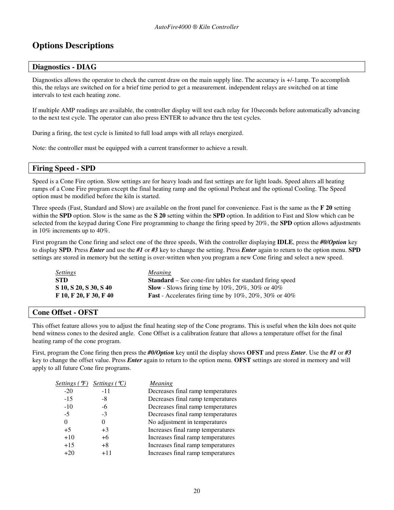# **Options Descriptions**

#### **Diagnostics - DIAG**

Diagnostics allows the operator to check the current draw on the main supply line. The accuracy is +/-1amp. To accomplish this, the relays are switched on for a brief time period to get a measurement. independent relays are switched on at time intervals to test each heating zone.

If multiple AMP readings are available, the controller display will test each relay for 10seconds before automatically advancing to the next test cycle. The operator can also press ENTER to advance thru the test cycles.

During a firing, the test cycle is limited to full load amps with all relays energized.

Note: the controller must be equipped with a current transformer to achieve a result.

#### **Firing Speed - SPD**

Speed is a Cone Fire option. Slow settings are for heavy loads and fast settings are for light loads. Speed alters all heating ramps of a Cone Fire program except the final heating ramp and the optional Preheat and the optional Cooling. The Speed option must be modified before the kiln is started.

Three speeds (Fast, Standard and Slow) are available on the front panel for convenience. Fast is the same as the **F 20** setting within the **SPD** option. Slow is the same as the **S 20** setting within the **SPD** option. In addition to Fast and Slow which can be selected from the keypad during Cone Fire programming to change the firing speed by 20%, the **SPD** option allows adjustments in 10% increments up to 40%.

First program the Cone firing and select one of the three speeds, With the controller displaying **IDLE**, press the *#0/Option* key to display **SPD**. Press *Enter* and use the *#1* or *#3* key to change the setting. Press *Enter* again to return to the option menu. **SPD** settings are stored in memory but the setting is over-written when you program a new Cone firing and select a new speed.

| <i><u>Settings</u></i> | <i>Meaning</i>                                                   |
|------------------------|------------------------------------------------------------------|
| STD                    | <b>Standard</b> – See cone-fire tables for standard firing speed |
| S 10, S 20, S 30, S 40 | <b>Slow</b> - Slows firing time by 10%, 20%, 30% or 40%          |
| F 10, F 20, F 30, F 40 | <b>Fast</b> - Accelerates firing time by 10%, 20%, 30% or 40%    |

#### **Cone Offset - OFST**

This offset feature allows you to adjust the final heating step of the Cone programs. This is useful when the kiln does not quite bend witness cones to the desired angle. Cone Offset is a calibration feature that allows a temperature offset for the final heating ramp of the cone program.

First, program the Cone firing then press the *#0/Option* key until the display shows **OFST** and press *Enter*. Use the *#1* or *#3* key to change the offset value. Press *Enter* again to return to the option menu. **OFST** settings are stored in memory and will apply to all future Cone fire programs.

| Settings $(\mathcal{F})$ | Settings $({}^{\circ}C)$ | Meaning                           |
|--------------------------|--------------------------|-----------------------------------|
| $-20$                    | $-11$                    | Decreases final ramp temperatures |
| $-15$                    | -8                       | Decreases final ramp temperatures |
| $-10$                    | -6                       | Decreases final ramp temperatures |
| $-5$                     | $-3$                     | Decreases final ramp temperatures |
| $\theta$                 |                          | No adjustment in temperatures     |
| $+5$                     | $+3$                     | Increases final ramp temperatures |
| $+10$                    | $+6$                     | Increases final ramp temperatures |
| $+15$                    | $+8$                     | Increases final ramp temperatures |
| +20                      | $+11$                    | Increases final ramp temperatures |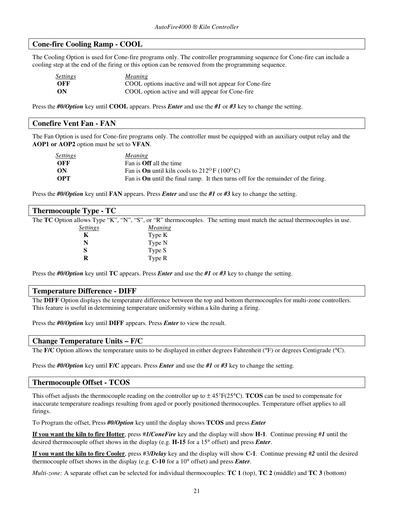#### **Cone-fire Cooling Ramp - COOL**

The Cooling Option is used for Cone-fire programs only. The controller programming sequence for Cone-fire can include a cooling step at the end of the firing or this option can be removed from the programming sequence.

| <b>Settings</b> | <i>Meaning</i>                                          |
|-----------------|---------------------------------------------------------|
| OFF             | COOL options inactive and will not appear for Cone-fire |
| ON              | COOL option active and will appear for Cone-fire        |

Press the *#0/Option* key until **COOL** appears. Press *Enter* and use the *#1* or *#3* key to change the setting.

# **Conefire Vent Fan - FAN**

The Fan Option is used for Cone-fire programs only. The controller must be equipped with an auxiliary output relay and the **AOP1 or AOP2** option must be set to **VFAN**.

| <b>Settings</b> | <i>Meaning</i>                                                                            |
|-----------------|-------------------------------------------------------------------------------------------|
| OFF             | Fan is <b>Off</b> all the time                                                            |
| - ON            | Fan is <b>On</b> until kiln cools to $212^{\circ}$ F (100 <sup>o</sup> C)                 |
| - OPT           | Fan is <b>On</b> until the final ramp. It then turns off for the remainder of the firing. |

Press the *#0/Option* key until **FAN** appears. Press *Enter* and use the *#1* or *#3* key to change the setting.

| <b>Thermocouple Type - TC</b> |                |                                                                                                                        |
|-------------------------------|----------------|------------------------------------------------------------------------------------------------------------------------|
|                               |                | The TC Option allows Type "K", "N", "S", or "R" thermocouples. The setting must match the actual thermocouples in use. |
| <b>Settings</b>               | <i>Meaning</i> |                                                                                                                        |
| K                             | Type K         |                                                                                                                        |
| N                             | Type N         |                                                                                                                        |
| S                             | Type S         |                                                                                                                        |
| R                             | Type R         |                                                                                                                        |

Press the *#0/Option* key until **TC** appears. Press *Enter* and use the *#1* or *#3* key to change the setting.

#### **Temperature Difference - DIFF**

The **DIFF** Option displays the temperature difference between the top and bottom thermocouples for multi-zone controllers. This feature is useful in determining temperature uniformity within a kiln during a firing.

Press the *#0/Option* key until **DIFF** appears. Press *Enter* to view the result.

#### **Change Temperature Units – F/C**

The **F/C** Option allows the temperature units to be displayed in either degrees Fahrenheit (°F) or degrees Centigrade (°C).

Press the *#0/Option* key until **F/C** appears. Press *Enter* and use the *#1* or *#3* key to change the setting.

#### **Thermocouple Offset - TCOS**

This offset adjusts the thermocouple reading on the controller up to  $\pm 45^{\circ}F(25^{\circ}C)$ . **TCOS** can be used to compensate for inaccurate temperature readings resulting from aged or poorly positioned thermocouples. Temperature offset applies to all firings.

To Program the offset, Press *#0/Option* key until the display shows **TCOS** and press *Enter*

**If you want the kiln to fire Hotter**, press #*1/ConeFire* key and the display will show **H-1**. Continue pressing #*1* until the desired thermocouple offset shows in the display (e.g. **H-15** for a 15° offset) and press *Enter*.

**If you want the kiln to fire Cooler**, press #3*/Delay* key and the display will show **C-1**. Continue pressing #*2* until the desired thermocouple offset shows in the display (e.g. **C-10** for a 10° offset) and press *Enter*.

*Multi-zone:* A separate offset can be selected for individual thermocouples: **TC 1** (top), **TC 2** (middle) and **TC 3** (bottom)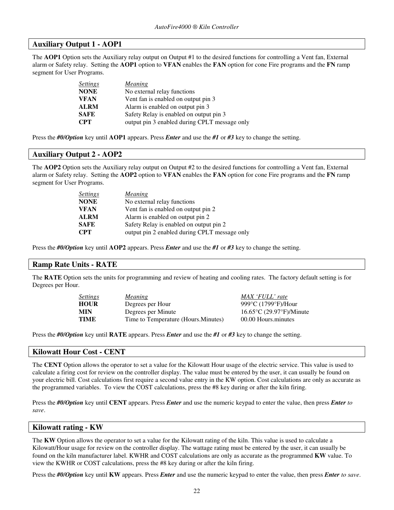### **Auxiliary Output 1 - AOP1**

The **AOP1** Option sets the Auxiliary relay output on Output #1 to the desired functions for controlling a Vent fan, External alarm or Safety relay. Setting the **AOP1** option to **VFAN** enables the **FAN** option for cone Fire programs and the **FN** ramp segment for User Programs.

| <b>Settings</b> | <b>Meaning</b>                                |
|-----------------|-----------------------------------------------|
| <b>NONE</b>     | No external relay functions                   |
| <b>VFAN</b>     | Vent fan is enabled on output pin 3           |
| <b>ALRM</b>     | Alarm is enabled on output pin 3              |
| <b>SAFE</b>     | Safety Relay is enabled on output pin 3       |
| <b>CPT</b>      | output pin 3 enabled during CPLT message only |

Press the *#0/Option* key until **AOP1** appears. Press *Enter* and use the *#1* or *#3* key to change the setting.

#### **Auxiliary Output 2 - AOP2**

The **AOP2** Option sets the Auxiliary relay output on Output #2 to the desired functions for controlling a Vent fan, External alarm or Safety relay. Setting the **AOP2** option to **VFAN** enables the **FAN** option for cone Fire programs and the **FN** ramp segment for User Programs.

| <i>Settings</i> | <i>Meaning</i>                                |
|-----------------|-----------------------------------------------|
| <b>NONE</b>     | No external relay functions                   |
| <b>VFAN</b>     | Vent fan is enabled on output pin 2           |
| <b>ALRM</b>     | Alarm is enabled on output pin 2              |
| <b>SAFE</b>     | Safety Relay is enabled on output pin 2       |
| <b>CPT</b>      | output pin 2 enabled during CPLT message only |

Press the *#0/Option* key until **AOP2** appears. Press *Enter* and use the *#1* or *#3* key to change the setting.

#### **Ramp Rate Units - RATE**

The **RATE** Option sets the units for programming and review of heating and cooling rates. The factory default setting is for Degrees per Hour.

| <b>Settings</b> | <i>Meaning</i>                       | MAX 'FULL' rate                                    |
|-----------------|--------------------------------------|----------------------------------------------------|
| <b>HOUR</b>     | Degrees per Hour                     | 999 $\rm{^{\circ}C}$ (1799 $\rm{^{\circ}F}$ )/Hour |
| <b>MIN</b>      | Degrees per Minute                   | $16.65^{\circ}$ C (29.97 $^{\circ}$ F)/Minute      |
| TIME            | Time to Temperature (Hours. Minutes) | 00.00 Hours minutes                                |

Press the *#0/Option* key until **RATE** appears. Press *Enter* and use the *#1* or *#3* key to change the setting.

#### **Kilowatt Hour Cost - CENT**

The **CENT** Option allows the operator to set a value for the Kilowatt Hour usage of the electric service. This value is used to calculate a firing cost for review on the controller display. The value must be entered by the user, it can usually be found on your electric bill. Cost calculations first require a second value entry in the KW option. Cost calculations are only as accurate as the programmed variables. To view the COST calculations, press the #8 key during or after the kiln firing.

Press the *#0/Option* key until **CENT** appears. Press *Enter* and use the numeric keypad to enter the value, then press *Enter to save*.

| Kilowatt rating - KW |  |  |
|----------------------|--|--|
|----------------------|--|--|

The **KW** Option allows the operator to set a value for the Kilowatt rating of the kiln. This value is used to calculate a Kilowatt/Hour usage for review on the controller display. The wattage rating must be entered by the user, it can usually be found on the kiln manufacturer label. KWHR and COST calculations are only as accurate as the programmed **KW** value. To view the KWHR or COST calculations, press the #8 key during or after the kiln firing.

Press the *#0/Option* key until **KW** appears. Press *Enter* and use the numeric keypad to enter the value, then press *Enter to save*.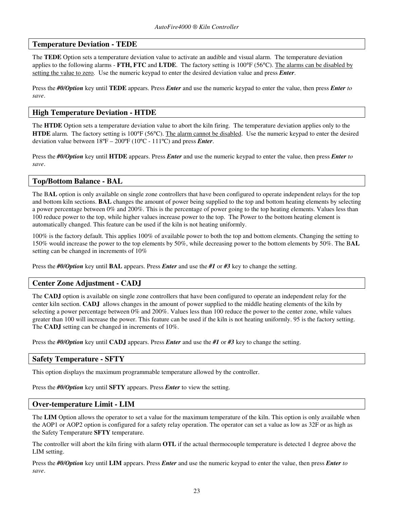#### **Temperature Deviation - TEDE**

The **TEDE** Option sets a temperature deviation value to activate an audible and visual alarm. The temperature deviation applies to the following alarms - **FTH, FTC** and **LTDE**. The factory setting is 100°F (56°C). The alarms can be disabled by setting the value to zero. Use the numeric keypad to enter the desired deviation value and press *Enter*.

Press the *#0/Option* key until **TEDE** appears. Press *Enter* and use the numeric keypad to enter the value, then press *Enter to save*.

#### **High Temperature Deviation - HTDE**

The **HTDE** Option sets a temperature deviation value to abort the kiln firing. The temperature deviation applies only to the **HTDE** alarm. The factory setting is 100°F (56°C). The alarm cannot be disabled. Use the numeric keypad to enter the desired deviation value between 18ºF – 200ºF (10ºC - 111ºC) and press *Enter*.

Press the *#0/Option* key until **HTDE** appears. Press *Enter* and use the numeric keypad to enter the value, then press *Enter to save*.

#### **Top/Bottom Balance - BAL**

The B**AL** option is only available on single zone controllers that have been configured to operate independent relays for the top and bottom kiln sections. **BAL** changes the amount of power being supplied to the top and bottom heating elements by selecting a power percentage between 0% and 200%. This is the percentage of power going to the top heating elements. Values less than 100 reduce power to the top, while higher values increase power to the top. The Power to the bottom heating element is automatically changed. This feature can be used if the kiln is not heating uniformly.

100% is the factory default. This applies 100% of available power to both the top and bottom elements. Changing the setting to 150% would increase the power to the top elements by 50%, while decreasing power to the bottom elements by 50%. The B**AL** setting can be changed in increments of 10%

Press the *#0/Option* key until **BAL** appears. Press *Enter* and use the *#1* or *#3* key to change the setting.

#### **Center Zone Adjustment - CADJ**

The **CADJ** option is available on single zone controllers that have been configured to operate an independent relay for the center kiln section. **CADJ** allows changes in the amount of power supplied to the middle heating elements of the kiln by selecting a power percentage between 0% and 200%. Values less than 100 reduce the power to the center zone, while values greater than 100 will increase the power. This feature can be used if the kiln is not heating uniformly. 95 is the factory setting. The **CADJ** setting can be changed in increments of 10%.

Press the *#0/Option* key until **CADJ** appears. Press *Enter* and use the *#1* or *#3* key to change the setting.

#### **Safety Temperature - SFTY**

This option displays the maximum programmable temperature allowed by the controller.

Press the *#0/Option* key until **SFTY** appears. Press *Enter* to view the setting.

#### **Over-temperature Limit - LIM**

The **LIM** Option allows the operator to set a value for the maximum temperature of the kiln. This option is only available when the AOP1 or AOP2 option is configured for a safety relay operation. The operator can set a value as low as 32F or as high as the Safety Temperature **SFTY** temperature.

The controller will abort the kiln firing with alarm **OTL** if the actual thermocouple temperature is detected 1 degree above the LIM setting.

Press the *#0/Option* key until **LIM** appears. Press *Enter* and use the numeric keypad to enter the value, then press *Enter to save*.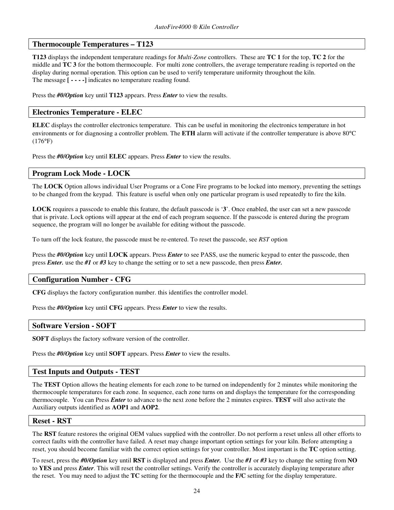### **Thermocouple Temperatures – T123**

**T123** displays the independent temperature readings for *Multi-Zone* controllers. These are **TC 1** for the top, **TC 2** for the middle and **TC 3** for the bottom thermocouple. For multi zone controllers, the average temperature reading is reported on the display during normal operation. This option can be used to verify temperature uniformity throughout the kiln. The message **[ - - - -]** indicates no temperature reading found.

Press the *#0/Option* key until **T123** appears. Press *Enter* to view the results.

### **Electronics Temperature - ELEC**

**ELEC** displays the controller electronics temperature. This can be useful in monitoring the electronics temperature in hot environments or for diagnosing a controller problem. The **ETH** alarm will activate if the controller temperature is above 80°C (176°F)

Press the *#0/Option* key until **ELEC** appears. Press *Enter* to view the results.

#### **Program Lock Mode - LOCK**

The **LOCK** Option allows individual User Programs or a Cone Fire programs to be locked into memory, preventing the settings to be changed from the keypad. This feature is useful when only one particular program is used repeatedly to fire the kiln.

**LOCK** requires a passcode to enable this feature, the default passcode is '**3**'. Once enabled, the user can set a new passcode that is private. Lock options will appear at the end of each program sequence. If the passcode is entered during the program sequence, the program will no longer be available for editing without the passcode.

To turn off the lock feature, the passcode must be re-entered. To reset the passcode, see *RST* option

Press the *#0/Option* key until **LOCK** appears. Press *Enter* to see PASS, use the numeric keypad to enter the passcode, then press *Enter.* use the *#1* or *#3* key to change the setting or to set a new passcode, then press *Enter.*

#### **Configuration Number - CFG**

**CFG** displays the factory configuration number. this identifies the controller model.

Press the *#0/Option* key until **CFG** appears. Press *Enter* to view the results.

#### **Software Version - SOFT**

**SOFT** displays the factory software version of the controller.

Press the *#0/Option* key until **SOFT** appears. Press *Enter* to view the results.

#### **Test Inputs and Outputs - TEST**

The **TEST** Option allows the heating elements for each zone to be turned on independently for 2 minutes while monitoring the thermocouple temperatures for each zone. In sequence, each zone turns on and displays the temperature for the corresponding thermocouple. You can Press *Enter* to advance to the next zone before the 2 minutes expires. **TEST** will also activate the Auxiliary outputs identified as **AOP1** and **AOP2**.

#### **Reset - RST**

The **RST** feature restores the original OEM values supplied with the controller. Do not perform a reset unless all other efforts to correct faults with the controller have failed. A reset may change important option settings for your kiln. Before attempting a reset, you should become familiar with the correct option settings for your controller. Most important is the **TC** option setting.

To reset, press the *#0/Option* key until **RST** is displayed and press *Enter.* Use the *#1* or *#3* key to change the setting from **NO** to **YES** and press *Enter*. This will reset the controller settings. Verify the controller is accurately displaying temperature after the reset. You may need to adjust the **TC** setting for the thermocouple and the **F/C** setting for the display temperature.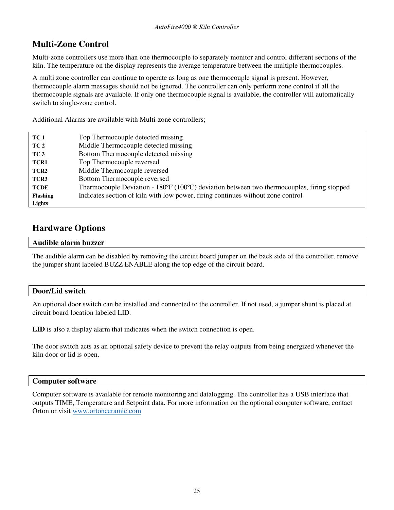# **Multi-Zone Control**

Multi-zone controllers use more than one thermocouple to separately monitor and control different sections of the kiln. The temperature on the display represents the average temperature between the multiple thermocouples.

A multi zone controller can continue to operate as long as one thermocouple signal is present. However, thermocouple alarm messages should not be ignored. The controller can only perform zone control if all the thermocouple signals are available. If only one thermocouple signal is available, the controller will automatically switch to single-zone control.

Additional Alarms are available with Multi-zone controllers;

| TC 1             | Top Thermocouple detected missing                                                                         |
|------------------|-----------------------------------------------------------------------------------------------------------|
| TC 2             | Middle Thermocouple detected missing                                                                      |
| TC <sub>3</sub>  | Bottom Thermocouple detected missing                                                                      |
| TCR1             | Top Thermocouple reversed                                                                                 |
| TCR <sub>2</sub> | Middle Thermocouple reversed                                                                              |
| TCR3             | Bottom Thermocouple reversed                                                                              |
| <b>TCDE</b>      | Thermocouple Deviation - $180^{\circ}F(100^{\circ}C)$ deviation between two thermocouples, firing stopped |
| <b>Flashing</b>  | Indicates section of kiln with low power, firing continues without zone control                           |
| Lights           |                                                                                                           |

# **Hardware Options**

#### **Audible alarm buzzer**

The audible alarm can be disabled by removing the circuit board jumper on the back side of the controller. remove the jumper shunt labeled BUZZ ENABLE along the top edge of the circuit board.

### **Door/Lid switch**

An optional door switch can be installed and connected to the controller. If not used, a jumper shunt is placed at circuit board location labeled LID.

**LID** is also a display alarm that indicates when the switch connection is open.

The door switch acts as an optional safety device to prevent the relay outputs from being energized whenever the kiln door or lid is open.

### **Computer software**

Computer software is available for remote monitoring and datalogging. The controller has a USB interface that outputs TIME, Temperature and Setpoint data. For more information on the optional computer software, contact Orton or visit www.ortonceramic.com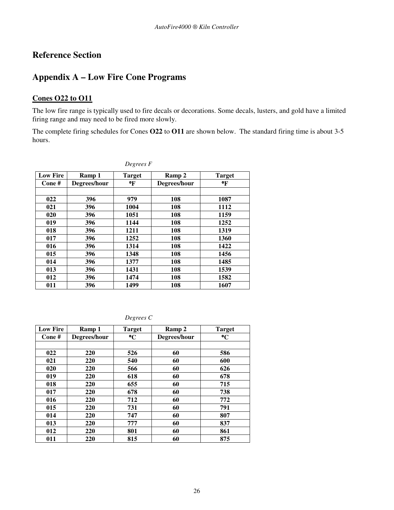# **Reference Section**

# **Appendix A – Low Fire Cone Programs**

### **Cones O22 to O11**

The low fire range is typically used to fire decals or decorations. Some decals, lusters, and gold have a limited firing range and may need to be fired more slowly.

The complete firing schedules for Cones **O22** to **O11** are shown below. The standard firing time is about 3-5 hours.

| <b>Low Fire</b> | Ramp 1       | <b>Target</b> | Ramp 2       | <b>Target</b> |
|-----------------|--------------|---------------|--------------|---------------|
| Cone#           | Degrees/hour | °F            | Degrees/hour | °F            |
|                 |              |               |              |               |
| 022             | 396          | 979           | 108          | 1087          |
| 021             | 396          | 1004          | 108          | 1112          |
| 020             | 396          | 1051          | 108          | 1159          |
| 019             | 396          | 1144          | 108          | 1252          |
| 018             | 396          | 1211          | 108          | 1319          |
| 017             | 396          | 1252          | 108          | 1360          |
| 016             | 396          | 1314          | 108          | 1422          |
| 015             | 396          | 1348          | 108          | 1456          |
| 014             | 396          | 1377          | 108          | 1485          |
| 013             | 396          | 1431          | 108          | 1539          |
| 012             | 396          | 1474          | 108          | 1582          |
| 011             | 396          | 1499          | 108          | 1607          |

*Degrees F*

*Degrees C*

| <b>Low Fire</b> | Ramp 1       | <b>Target</b>   | Ramp 2       | <b>Target</b> |
|-----------------|--------------|-----------------|--------------|---------------|
| Cone#           | Degrees/hour | $\rm ^{\circ}C$ | Degrees/hour | $\mathbf{C}$  |
|                 |              |                 |              |               |
| 022             | 220          | 526             | 60           | 586           |
| 021             | 220          | 540             | 60           | 600           |
| 020             | 220          | 566             | 60           | 626           |
| 019             | 220          | 618             | 60           | 678           |
| 018             | 220          | 655             | 60           | 715           |
| 017             | 220          | 678             | 60           | 738           |
| 016             | 220          | 712             | 60           | 772           |
| 015             | 220          | 731             | 60           | 791           |
| 014             | 220          | 747             | 60           | 807           |
| 013             | 220          | 777             | 60           | 837           |
| 012             | 220          | 801             | 60           | 861           |
| 011             | 220          | 815             | 60           | 875           |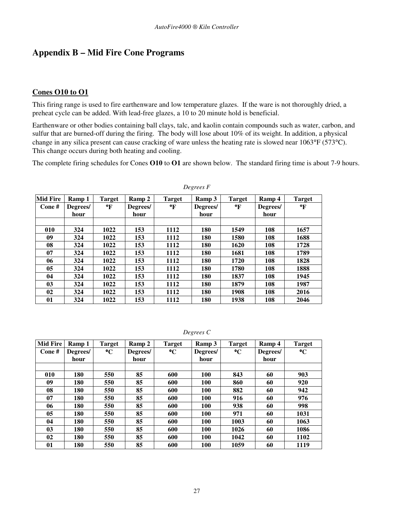# **Appendix B – Mid Fire Cone Programs**

### **Cones O10 to O1**

This firing range is used to fire earthenware and low temperature glazes. If the ware is not thoroughly dried, a preheat cycle can be added. With lead-free glazes, a 10 to 20 minute hold is beneficial.

Earthenware or other bodies containing ball clays, talc, and kaolin contain compounds such as water, carbon, and sulfur that are burned-off during the firing. The body will lose about 10% of its weight. In addition, a physical change in any silica present can cause cracking of ware unless the heating rate is slowed near 1063°F (573°C). This change occurs during both heating and cooling.

The complete firing schedules for Cones **O10** to **O1** are shown below. The standard firing time is about 7-9 hours.

| <b>Mid Fire</b> | Ramp 1   | <b>Target</b> | Ramp 2   | <b>Target</b> | Ramp 3   | <b>Target</b> | Ramp 4   | <b>Target</b> |
|-----------------|----------|---------------|----------|---------------|----------|---------------|----------|---------------|
| Cone#           | Degrees/ | °F            | Degrees/ | °F            | Degrees/ | °F            | Degrees/ | °F            |
|                 | hour     |               | hour     |               | hour     |               | hour     |               |
|                 |          |               |          |               |          |               |          |               |
| 010             | 324      | 1022          | 153      | 1112          | 180      | 1549          | 108      | 1657          |
| 09              | 324      | 1022          | 153      | 1112          | 180      | 1580          | 108      | 1688          |
| 08              | 324      | 1022          | 153      | 1112          | 180      | 1620          | 108      | 1728          |
| 07              | 324      | 1022          | 153      | 1112          | 180      | 1681          | 108      | 1789          |
| 06              | 324      | 1022          | 153      | 1112          | 180      | 1720          | 108      | 1828          |
| 05              | 324      | 1022          | 153      | 1112          | 180      | 1780          | 108      | 1888          |
| 04              | 324      | 1022          | 153      | 1112          | 180      | 1837          | 108      | 1945          |
| 0 <sub>3</sub>  | 324      | 1022          | 153      | 1112          | 180      | 1879          | 108      | 1987          |
| 02              | 324      | 1022          | 153      | 1112          | 180      | 1908          | 108      | 2016          |
| 01              | 324      | 1022          | 153      | 1112          | 180      | 1938          | 108      | 2046          |

*Degrees F*

| Degrees C |  |
|-----------|--|
|-----------|--|

| <b>Mid Fire</b> | Ramp 1   | <b>Target</b>   | Ramp 2   | <b>Target</b>   | Ramp 3     | <b>Target</b>   | Ramp 4   | <b>Target</b>   |
|-----------------|----------|-----------------|----------|-----------------|------------|-----------------|----------|-----------------|
| Cone#           | Degrees/ | $\rm ^{\circ}C$ | Degrees/ | $\rm ^{\circ}C$ | Degrees/   | $\rm ^{\circ}C$ | Degrees/ | $\rm ^{\circ}C$ |
|                 | hour     |                 | hour     |                 | hour       |                 | hour     |                 |
|                 |          |                 |          |                 |            |                 |          |                 |
| 010             | 180      | 550             | 85       | 600             | 100        | 843             | 60       | 903             |
| 09              | 180      | 550             | 85       | 600             | 100        | 860             | 60       | 920             |
| 08              | 180      | 550             | 85       | 600             | 100        | 882             | 60       | 942             |
| 07              | 180      | 550             | 85       | 600             | 100        | 916             | 60       | 976             |
| 06              | 180      | 550             | 85       | 600             | 100        | 938             | 60       | 998             |
| 0 <sub>5</sub>  | 180      | 550             | 85       | 600             | 100        | 971             | 60       | 1031            |
| 04              | 180      | 550             | 85       | 600             | <b>100</b> | 1003            | 60       | 1063            |
| 0 <sub>3</sub>  | 180      | 550             | 85       | 600             | <b>100</b> | 1026            | 60       | 1086            |
| 02              | 180      | 550             | 85       | 600             | <b>100</b> | 1042            | 60       | 1102            |
| 01              | 180      | 550             | 85       | 600             | <b>100</b> | 1059            | 60       | 1119            |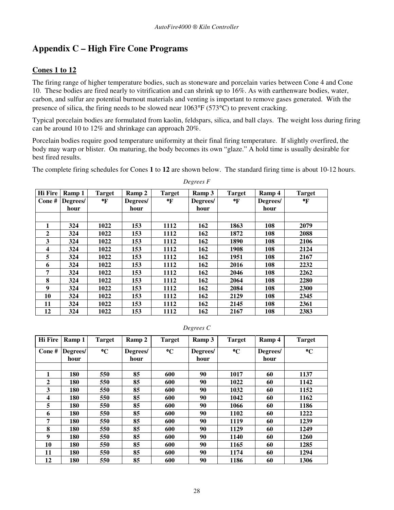# **Appendix C – High Fire Cone Programs**

### **Cones 1 to 12**

The firing range of higher temperature bodies, such as stoneware and porcelain varies between Cone 4 and Cone 10. These bodies are fired nearly to vitrification and can shrink up to 16%. As with earthenware bodies, water, carbon, and sulfur are potential burnout materials and venting is important to remove gases generated. With the presence of silica, the firing needs to be slowed near 1063°F (573°C) to prevent cracking.

Typical porcelain bodies are formulated from kaolin, feldspars, silica, and ball clays. The weight loss during firing can be around 10 to 12% and shrinkage can approach 20%.

Porcelain bodies require good temperature uniformity at their final firing temperature. If slightly overfired, the body may warp or blister. On maturing, the body becomes its own "glaze." A hold time is usually desirable for best fired results.

The complete firing schedules for Cones **1** to **12** are shown below. The standard firing time is about 10-12 hours.

| <b>Hi Fire</b> | Ramp 1   | <b>Target</b> | Ramp 2   | <b>Target</b> | Ramp 3   | <b>Target</b> | Ramp 4   | <b>Target</b> |
|----------------|----------|---------------|----------|---------------|----------|---------------|----------|---------------|
| Cone#          | Degrees/ | $\mathbf{F}$  | Degrees/ | °F            | Degrees/ | °F            | Degrees/ | °F            |
|                | hour     |               | hour     |               | hour     |               | hour     |               |
|                |          |               |          |               |          |               |          |               |
| 1              | 324      | 1022          | 153      | 1112          | 162      | 1863          | 108      | 2079          |
| $\mathbf{2}$   | 324      | 1022          | 153      | 1112          | 162      | 1872          | 108      | 2088          |
| 3              | 324      | 1022          | 153      | 1112          | 162      | 1890          | 108      | 2106          |
| 4              | 324      | 1022          | 153      | 1112          | 162      | 1908          | 108      | 2124          |
| 5              | 324      | 1022          | 153      | 1112          | 162      | 1951          | 108      | 2167          |
| 6              | 324      | 1022          | 153      | 1112          | 162      | 2016          | 108      | 2232          |
| 7              | 324      | 1022          | 153      | 1112          | 162      | 2046          | 108      | 2262          |
| 8              | 324      | 1022          | 153      | 1112          | 162      | 2064          | 108      | 2280          |
| 9              | 324      | 1022          | 153      | 1112          | 162      | 2084          | 108      | 2300          |
| 10             | 324      | 1022          | 153      | 1112          | 162      | 2129          | 108      | 2345          |
| 11             | 324      | 1022          | 153      | 1112          | 162      | 2145          | 108      | 2361          |
| 12             | 324      | 1022          | 153      | 1112          | 162      | 2167          | 108      | 2383          |

*Degrees F* 

#### *Degrees C*

| <b>Hi</b> Fire | Ramp 1   | <b>Target</b>   | Ramp 2   | <b>Target</b>   | Ramp 3   | <b>Target</b>   | Ramp 4   | <b>Target</b>   |
|----------------|----------|-----------------|----------|-----------------|----------|-----------------|----------|-----------------|
| Cone#          | Degrees/ | $\rm ^{\circ}C$ | Degrees/ | $\rm ^{\circ}C$ | Degrees/ | $\rm ^{\circ}C$ | Degrees/ | $\rm ^{\circ}C$ |
|                | hour     |                 | hour     |                 | hour     |                 | hour     |                 |
|                |          |                 |          |                 |          |                 |          |                 |
| 1              | 180      | 550             | 85       | 600             | 90       | 1017            | 60       | 1137            |
| $\overline{2}$ | 180      | 550             | 85       | 600             | 90       | 1022            | 60       | 1142            |
| 3              | 180      | 550             | 85       | 600             | 90       | 1032            | 60       | 1152            |
| 4              | 180      | 550             | 85       | 600             | 90       | 1042            | 60       | 1162            |
| 5              | 180      | 550             | 85       | 600             | 90       | 1066            | 60       | 1186            |
| 6              | 180      | 550             | 85       | 600             | 90       | 1102            | 60       | 1222            |
| 7              | 180      | 550             | 85       | 600             | 90       | 1119            | 60       | 1239            |
| 8              | 180      | 550             | 85       | 600             | 90       | 1129            | 60       | 1249            |
| 9              | 180      | 550             | 85       | 600             | 90       | 1140            | 60       | 1260            |
| 10             | 180      | 550             | 85       | 600             | 90       | 1165            | 60       | 1285            |
| 11             | 180      | 550             | 85       | 600             | 90       | 1174            | 60       | 1294            |
| 12             | 180      | 550             | 85       | 600             | 90       | 1186            | 60       | 1306            |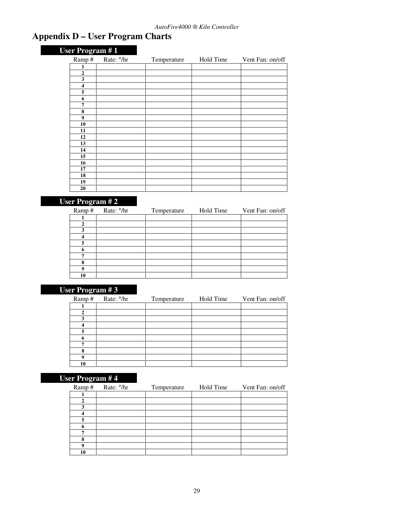# **Appendix D – User Program Charts**

| <b>User Program #1</b>  |                        |             |           |                  |
|-------------------------|------------------------|-------------|-----------|------------------|
| Ramp#                   | Rate: <sup>o</sup> /hr | Temperature | Hold Time | Vent Fan: on/off |
| 1                       |                        |             |           |                  |
| $\boldsymbol{2}$        |                        |             |           |                  |
| 3                       |                        |             |           |                  |
| $\overline{\mathbf{4}}$ |                        |             |           |                  |
| 5                       |                        |             |           |                  |
| 6                       |                        |             |           |                  |
| 7                       |                        |             |           |                  |
| 8                       |                        |             |           |                  |
| $\boldsymbol{9}$        |                        |             |           |                  |
| 10                      |                        |             |           |                  |
| 11                      |                        |             |           |                  |
| 12                      |                        |             |           |                  |
| 13                      |                        |             |           |                  |
| 14<br>15                |                        |             |           |                  |
| 16                      |                        |             |           |                  |
| 17                      |                        |             |           |                  |
| 18                      |                        |             |           |                  |
| 19                      |                        |             |           |                  |
| 20                      |                        |             |           |                  |

# **User Program # 2**

| Ramp# | Rate: <sup>o</sup> /hr | Temperature | Hold Time | Vent Fan: on/off |
|-------|------------------------|-------------|-----------|------------------|
|       |                        |             |           |                  |
|       |                        |             |           |                  |
|       |                        |             |           |                  |
|       |                        |             |           |                  |
|       |                        |             |           |                  |
|       |                        |             |           |                  |
|       |                        |             |           |                  |
| 8     |                        |             |           |                  |
| Q     |                        |             |           |                  |
| 10    |                        |             |           |                  |

# **User Program # 3**

|  | Ramp# | Rate: <sup>o</sup> /hr | Temperature | Hold Time | Vent Fan: on/off |
|--|-------|------------------------|-------------|-----------|------------------|
|  |       |                        |             |           |                  |
|  |       |                        |             |           |                  |
|  |       |                        |             |           |                  |
|  |       |                        |             |           |                  |
|  |       |                        |             |           |                  |
|  |       |                        |             |           |                  |
|  | ⇁     |                        |             |           |                  |
|  | я     |                        |             |           |                  |
|  | Q     |                        |             |           |                  |
|  | 10    |                        |             |           |                  |

# **User Program # 4**

| Ramp# | Rate: <sup>o</sup> /hr | Temperature | Hold Time | Vent Fan: on/off |
|-------|------------------------|-------------|-----------|------------------|
|       |                        |             |           |                  |
|       |                        |             |           |                  |
| о     |                        |             |           |                  |
|       |                        |             |           |                  |
|       |                        |             |           |                  |
| n     |                        |             |           |                  |
|       |                        |             |           |                  |
| 8     |                        |             |           |                  |
| o     |                        |             |           |                  |
| 10    |                        |             |           |                  |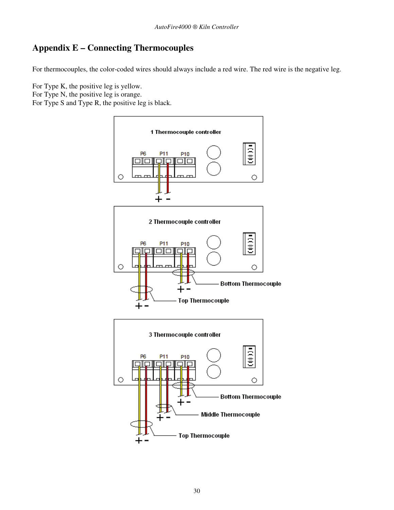# **Appendix E – Connecting Thermocouples**

For thermocouples, the color-coded wires should always include a red wire. The red wire is the negative leg.

For Type K, the positive leg is yellow. For Type N, the positive leg is orange.

For Type S and Type R, the positive leg is black.

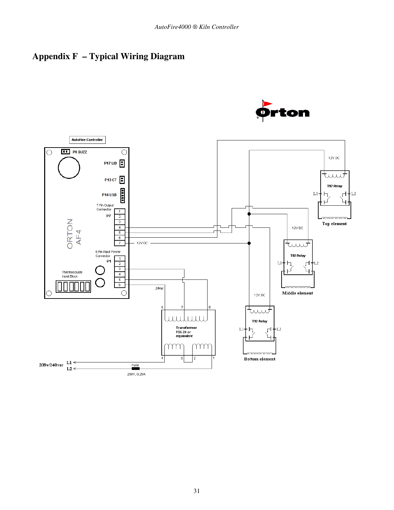